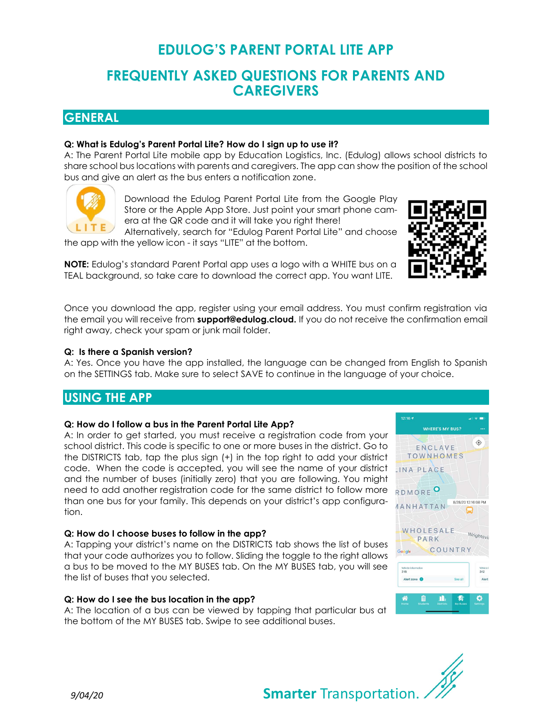# EDULOG'S PARENT PORTAL LITE APP

# FREQUENTLY ASKED QUESTIONS FOR PARENTS AND **CAREGIVERS**

## **GENERAL**

## Q: What is Edulog's Parent Portal Lite? How do I sign up to use it?

A: The Parent Portal Lite mobile app by Education Logistics, Inc. (Edulog) allows school districts to share school bus locations with parents and caregivers. The app can show the position of the school bus and give an alert as the bus enters a notification zone.



Download the Edulog Parent Portal Lite from the Google Play Store or the Apple App Store. Just point your smart phone camera at the QR code and it will take you right there!

Alternatively, search for "Edulog Parent Portal Lite" and choose the app with the yellow icon - it says "LITE" at the bottom.

NOTE: Edulog's standard Parent Portal app uses a logo with a WHITE bus on a TEAL background, so take care to download the correct app. You want LITE.

Once you download the app, register using your email address. You must confirm registration via the email you will receive from support@edulog.cloud. If you do not receive the confirmation email right away, check your spam or junk mail folder.

## Q: Is there a Spanish version?

A: Yes. Once you have the app installed, the language can be changed from English to Spanish on the SETTINGS tab. Make sure to select SAVE to continue in the language of your choice.

## USING THE APP

## Q: How do I follow a bus in the Parent Portal Lite App?

A: In order to get started, you must receive a registration code from your school district. This code is specific to one or more buses in the district. Go to the DISTRICTS tab, tap the plus sign (+) in the top right to add your district code. When the code is accepted, you will see the name of your district and the number of buses (initially zero) that you are following. You might need to add another registration code for the same district to follow more than one bus for your family. This depends on your district's app configuration.

## Q: How do I choose buses to follow in the app?

A: Tapping your district's name on the DISTRICTS tab shows the list of buses that your code authorizes you to follow. Sliding the toggle to the right allows a bus to be moved to the MY BUSES tab. On the MY BUSES tab, you will see the list of buses that you selected.

## Q: How do I see the bus location in the app?

A: The location of a bus can be viewed by tapping that particular bus at the bottom of the MY BUSES tab. Swipe to see additional buses.